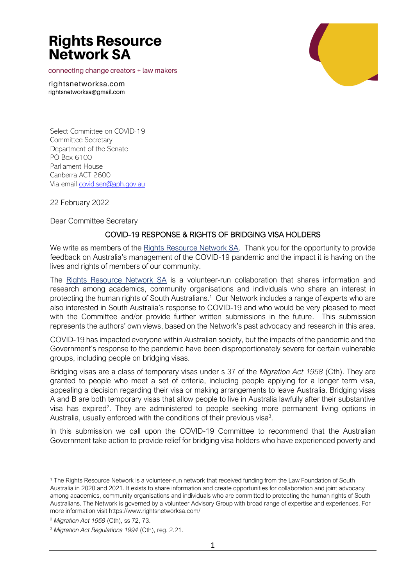connecting change creators + law makers

rightsnetworksa.com rightsnetworksa@gmail.com

Select Committee on COVID-19 Committee Secretary Department of the Senate PO Box 6100 Parliament House Canberra ACT 2600 Via email [covid.sen@aph.gov.au](mailto:covid.sen@aph.gov.au)

22 February 2022

Dear Committee Secretary

#### COVID-19 RESPONSE & RIGHTS OF BRIDGING VISA HOLDERS

We write as members of the [Rights Resource Network SA.](https://www.rightsnetworksa.com/) Thank you for the opportunity to provide feedback on Australia's management of the COVID-19 pandemic and the impact it is having on the lives and rights of members of our community.

The [Rights Resource Network SA](https://www.rightsnetworksa.com/) is a volunteer-run collaboration that shares information and research among academics, community organisations and individuals who share an interest in protecting the human rights of South Australians.<sup>1</sup> Our Network includes a range of experts who are also interested in South Australia's response to COVID-19 and who would be very pleased to meet with the Committee and/or provide further written submissions in the future. This submission represents the authors' own views, based on the Network's past advocacy and research in this area.

COVID-19 has impacted everyone within Australian society, but the impacts of the pandemic and the Government's response to the pandemic have been disproportionately severe for certain vulnerable groups, including people on bridging visas.

Bridging visas are a class of temporary visas under s 37 of the *Migration Act 1958* (Cth). They are granted to people who meet a set of criteria, including people applying for a longer term visa, appealing a decision regarding their visa or making arrangements to leave Australia. Bridging visas A and B are both temporary visas that allow people to live in Australia lawfully after their substantive visa has expired<sup>2</sup>. They are administered to people seeking more permanent living options in Australia, usually enforced with the conditions of their previous visa<sup>3</sup>.

In this submission we call upon the COVID-19 Committee to recommend that the Australian Government take action to provide relief for bridging visa holders who have experienced poverty and

<sup>1</sup> The Rights Resource Network is a volunteer-run network that received funding from the Law Foundation of South Australia in 2020 and 2021. It exists to share information and create opportunities for collaboration and joint advocacy among academics, community organisations and individuals who are committed to protecting the human rights of South Australians. The Network is governed by a volunteer Advisory Group with broad range of expertise and experiences. For more information visi[t https://www.rightsnetworksa.com/](https://www.rightsnetworksa.com/)

<sup>2</sup> *Migration Act 1958* (Cth), ss 72, 73.

<sup>3</sup> *Migration Act Regulations 1994* (Cth), reg. 2.21.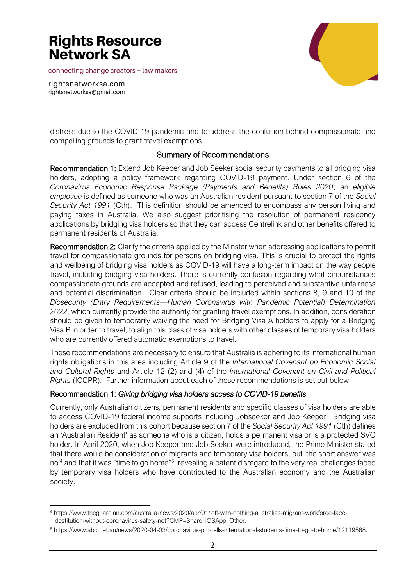connecting change creators + law makers





distress due to the COVID-19 pandemic and to address the confusion behind compassionate and compelling grounds to grant travel exemptions.

### Summary of Recommendations

Recommendation 1: Extend Job Keeper and Job Seeker social security payments to all bridging visa holders, adopting a policy framework regarding COVID-19 payment. Under section 6 of the *Coronavirus Economic Response Package (Payments and Benefits) Rules 2020*, an *eligible employee* is defined as someone who was an Australian resident pursuant to section 7 of the *Social Security Act 1991* (Cth). This definition should be amended to encompass any person living and paying taxes in Australia. We also suggest prioritising the resolution of permanent residency applications by bridging visa holders so that they can access Centrelink and other benefits offered to permanent residents of Australia.

Recommendation 2: Clarify the criteria applied by the Minster when addressing applications to permit travel for compassionate grounds for persons on bridging visa. This is crucial to protect the rights and wellbeing of bridging visa holders as COVID-19 will have a long-term impact on the way people travel, including bridging visa holders. There is currently confusion regarding what circumstances compassionate grounds are accepted and refused, leading to perceived and substantive unfairness and potential discrimination. Clear criteria should be included within sections 8, 9 and 10 of the *Biosecurity (Entry Requirements—Human Coronavirus with Pandemic Potential) Determination 2022*, which currently provide the authority for granting travel exemptions. In addition, consideration should be given to temporarily waiving the need for Bridging Visa A holders to apply for a Bridging Visa B in order to travel, to align this class of visa holders with other classes of temporary visa holders who are currently offered automatic exemptions to travel.

These recommendations are necessary to ensure that Australia is adhering to its international human rights obligations in this area including Article 9 of the *International Covenant on Economic Social and Cultural Rights* and Article 12 (2) and (4) of the *International Covenant on Civil and Political Rights* (ICCPR). Further information about each of these recommendations is set out below.

#### Recommendation 1: *Giving bridging visa holders access to COVID-19 benefits*

Currently, only Australian citizens, permanent residents and specific classes of visa holders are able to access COVID-19 federal income supports including Jobseeker and Job Keeper. Bridging visa holders are excluded from this cohort because section 7 of the *Social Security Act 1991* (Cth) defines an 'Australian Resident' as someone who is a citizen, holds a permanent visa or is a protected SVC holder. In April 2020, when Job Keeper and Job Seeker were introduced, the Prime Minister stated that there would be consideration of migrants and temporary visa holders, but 'the short answer was no'<sup>4</sup> and that it was "time to go home"<sup>5</sup>, revealing a patent disregard to the very real challenges faced by temporary visa holders who have contributed to the Australian economy and the Australian society.

<sup>4</sup> https://www.theguardian.com/australia-news/2020/apr/01/left-with-nothing-australias-migrant-workforce-facedestitution-without-coronavirus-safety-net?CMP=Share\_iOSApp\_Other.

<sup>5</sup> https://www.abc.net.au/news/2020-04-03/coronavirus-pm-tells-international-students-time-to-go-to-home/12119568.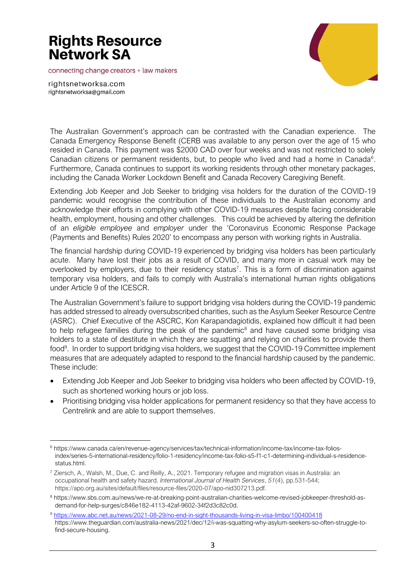connecting change creators + law makers



rightsnetworksa.com rightsnetworksa@gmail.com

The Australian Government's approach can be contrasted with the Canadian experience. The Canada Emergency Response Benefit (CERB was available to any person over the age of 15 who resided in Canada. This payment was \$2000 CAD over four weeks and was not restricted to solely Canadian citizens or permanent residents, but, to people who lived and had a home in Canada<sup>6</sup>. Furthermore, Canada continues to support its working residents through other monetary packages, including the Canada Worker Lockdown Benefit and Canada Recovery Caregiving Benefit.

Extending Job Keeper and Job Seeker to bridging visa holders for the duration of the COVID-19 pandemic would recognise the contribution of these individuals to the Australian economy and acknowledge their efforts in complying with other COVID-19 measures despite facing considerable health, employment, housing and other challenges. This could be achieved by altering the definition of an *eligible employee* and *employer* under the 'Coronavirus Economic Response Package (Payments and Benefits) Rules 2020' to encompass any person with working rights in Australia.

The financial hardship during COVID-19 experienced by bridging visa holders has been particularly acute. Many have lost their jobs as a result of COVID, and many more in casual work may be overlooked by employers, due to their residency status<sup>7</sup>. This is a form of discrimination against temporary visa holders, and fails to comply with Australia's international human rights obligations under Article 9 of the ICESCR.

The Australian Government's failure to support bridging visa holders during the COVID-19 pandemic has added stressed to already oversubscribed charities, such as the Asylum Seeker Resource Centre (ASRC). Chief Executive of the ASCRC, Kon Karapandagiotidis, explained how difficult it had been to help refugee families during the peak of the pandemic<sup>8</sup> and have caused some bridging visa holders to a state of destitute in which they are squatting and relying on charities to provide them food<sup>9</sup>. In order to support bridging visa holders, we suggest that the COVID-19 Committee implement measures that are adequately adapted to respond to the financial hardship caused by the pandemic. These include:

- Extending Job Keeper and Job Seeker to bridging visa holders who been affected by COVID-19, such as shortened working hours or job loss.
- Prioritising bridging visa holder applications for permanent residency so that they have access to Centrelink and are able to support themselves.

<sup>6</sup> https://www.canada.ca/en/revenue-agency/services/tax/technical-information/income-tax/income-tax-foliosindex/series-5-international-residency/folio-1-residency/income-tax-folio-s5-f1-c1-determining-individual-s-residencestatus.html.

<sup>7</sup> Ziersch, A., Walsh, M., Due, C. and Reilly, A., 2021. Temporary refugee and migration visas in Australia: an occupational health and safety hazard. *International Journal of Health Services*, *51*(4), pp.531-544; https://apo.org.au/sites/default/files/resource-files/2020-07/apo-nid307213.pdf.

<sup>8</sup> https://www.sbs.com.au/news/we-re-at-breaking-point-australian-charities-welcome-revised-jobkeeper-threshold-asdemand-for-help-surges/c846e182-4113-42af-9602-34f2d3c82c0d.

<sup>9</sup> <https://www.abc.net.au/news/2021-08-29/no-end-in-sight-thousands-living-in-visa-limbo/100400418> https://www.theguardian.com/australia-news/2021/dec/12/i-was-squatting-why-asylum-seekers-so-often-struggle-tofind-secure-housing.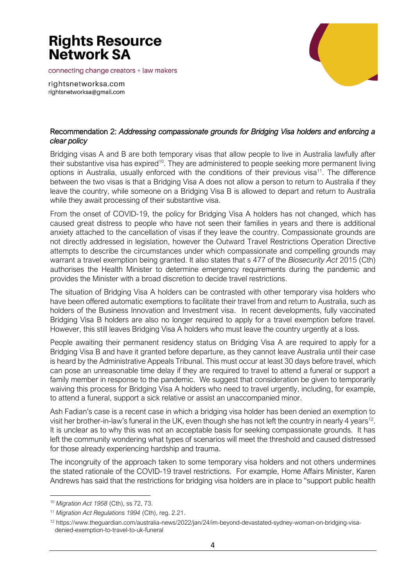connecting change creators + law makers



rightsnetworksa.com rightsnetworksa@gmail.com

### Recommendation 2: *Addressing compassionate grounds for Bridging Visa holders and enforcing a clear policy*

Bridging visas A and B are both temporary visas that allow people to live in Australia lawfully after their substantive visa has expired<sup>10</sup>. They are administered to people seeking more permanent living options in Australia, usually enforced with the conditions of their previous visa<sup>11</sup>. The difference between the two visas is that a Bridging Visa A does not allow a person to return to Australia if they leave the country, while someone on a Bridging Visa B is allowed to depart and return to Australia while they await processing of their substantive visa.

From the onset of COVID-19, the policy for Bridging Visa A holders has not changed, which has caused great distress to people who have not seen their families in years and there is additional anxiety attached to the cancellation of visas if they leave the country. Compassionate grounds are not directly addressed in legislation, however the Outward Travel Restrictions Operation Directive attempts to describe the circumstances under which compassionate and compelling grounds may warrant a travel exemption being granted. It also states that s 477 of the *Biosecurity Act* 2015 (Cth) authorises the Health Minister to determine emergency requirements during the pandemic and provides the Minister with a broad discretion to decide travel restrictions.

The situation of Bridging Visa A holders can be contrasted with other temporary visa holders who have been offered automatic exemptions to facilitate their travel from and return to Australia, such as holders of the Business Innovation and Investment visa. In recent developments, fully vaccinated Bridging Visa B holders are also no longer required to apply for a travel exemption before travel. However, this still leaves Bridging Visa A holders who must leave the country urgently at a loss.

People awaiting their permanent residency status on Bridging Visa A are required to apply for a Bridging Visa B and have it granted before departure, as they cannot leave Australia until their case is heard by the Administrative Appeals Tribunal. This must occur at least 30 days before travel, which can pose an unreasonable time delay if they are required to travel to attend a funeral or support a family member in response to the pandemic. We suggest that consideration be given to temporarily waiving this process for Bridging Visa A holders who need to travel urgently, including, for example, to attend a funeral, support a sick relative or assist an unaccompanied minor.

Ash Fadian's case is a recent case in which a bridging visa holder has been denied an exemption to visit her brother-in-law's funeral in the UK, even though she has not left the country in nearly 4 years<sup>12</sup>. It is unclear as to why this was not an acceptable basis for seeking compassionate grounds. It has left the community wondering what types of scenarios will meet the threshold and caused distressed for those already experiencing hardship and trauma.

The incongruity of the approach taken to some temporary visa holders and not others undermines the stated rationale of the COVID-19 travel restrictions. For example, Home Affairs Minister, Karen Andrews has said that the restrictions for bridging visa holders are in place to "support public health

<sup>10</sup> *Migration Act 1958* (Cth), ss 72, 73.

<sup>11</sup> *Migration Act Regulations 1994* (Cth), reg. 2.21.

<sup>12</sup> https://www.theguardian.com/australia-news/2022/jan/24/im-beyond-devastated-sydney-woman-on-bridging-visadenied-exemption-to-travel-to-uk-funeral